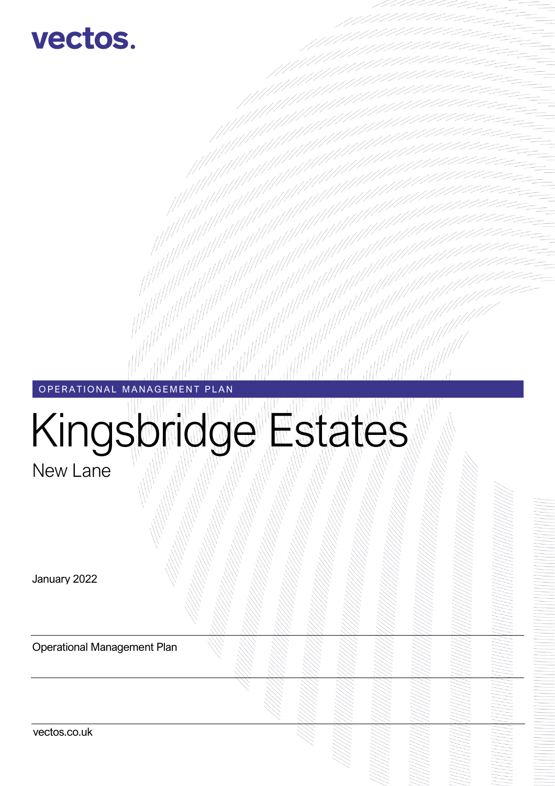

# OPERATIONAL MANAGEMENT PLAN

# Kingsbridge Estates

New Lane

January 2022

Operational Management Plan

vectos.co.uk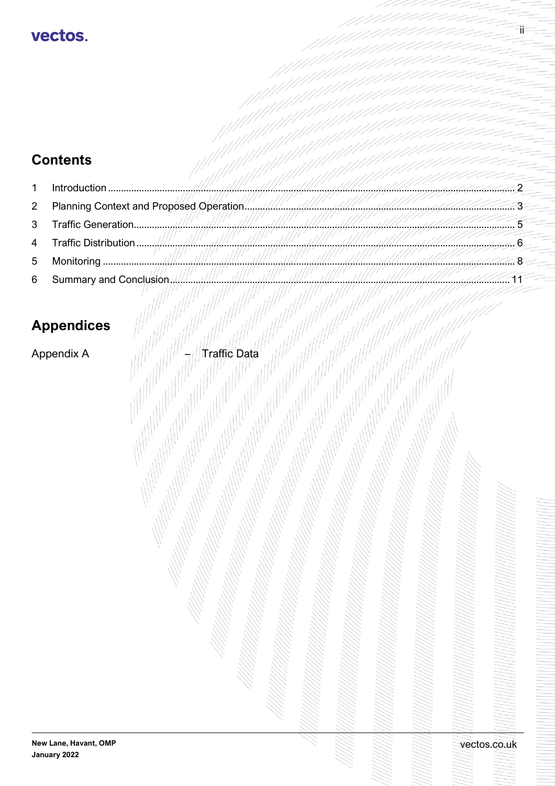# **Contents**

| $\mathbf{1}$ |                          |                                            |
|--------------|--------------------------|--------------------------------------------|
| $2^{\circ}$  |                          | <u>t filmumphfilmummatikkilölen har ha</u> |
|              |                          |                                            |
|              |                          |                                            |
|              |                          | $111 - 11111 - 11111$                      |
|              | 6 Summary and Conclusion |                                            |

# **Appendices**

Appendix A

Traffic Data

vectos.co.uk

 $\ddot{\text{I}}$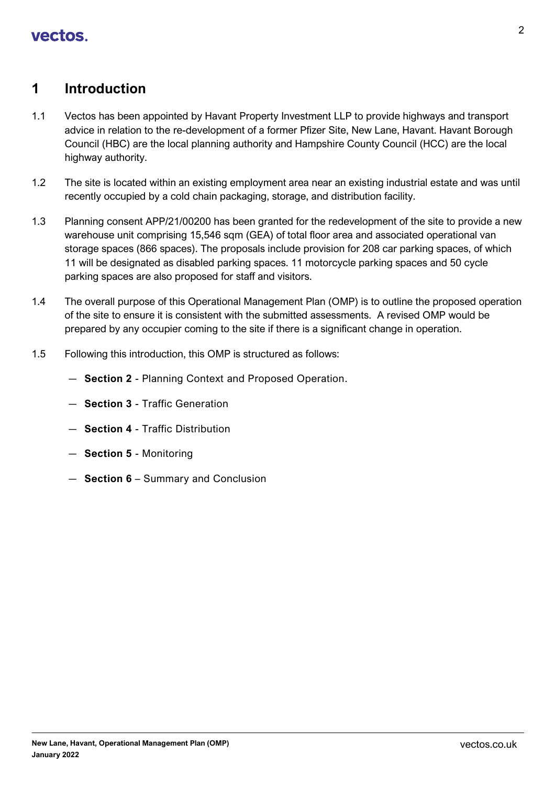## <span id="page-2-0"></span>**1 Introduction**

- 1.1 Vectos has been appointed by Havant Property Investment LLP to provide highways and transport advice in relation to the re-development of a former Pfizer Site, New Lane, Havant. Havant Borough Council (HBC) are the local planning authority and Hampshire County Council (HCC) are the local highway authority.
- 1.2 The site is located within an existing employment area near an existing industrial estate and was until recently occupied by a cold chain packaging, storage, and distribution facility.
- 1.3 Planning consent APP/21/00200 has been granted for the redevelopment of the site to provide a new warehouse unit comprising 15,546 sqm (GEA) of total floor area and associated operational van storage spaces (866 spaces). The proposals include provision for 208 car parking spaces, of which 11 will be designated as disabled parking spaces. 11 motorcycle parking spaces and 50 cycle parking spaces are also proposed for staff and visitors.
- 1.4 The overall purpose of this Operational Management Plan (OMP) is to outline the proposed operation of the site to ensure it is consistent with the submitted assessments. A revised OMP would be prepared by any occupier coming to the site if there is a significant change in operation.
- 1.5 Following this introduction, this OMP is structured as follows:
	- **Section 2** Planning Context and Proposed Operation.
	- **Section 3** Traffic Generation
	- **Section 4** Traffic Distribution
	- **Section 5** Monitoring
	- **Section 6**  Summary and Conclusion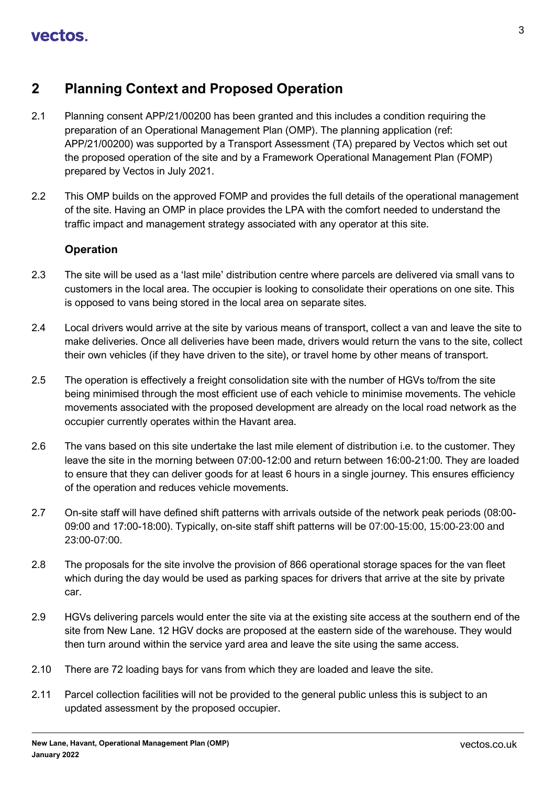## <span id="page-3-0"></span>**2 Planning Context and Proposed Operation**

- 2.1 Planning consent APP/21/00200 has been granted and this includes a condition requiring the preparation of an Operational Management Plan (OMP). The planning application (ref: APP/21/00200) was supported by a Transport Assessment (TA) prepared by Vectos which set out the proposed operation of the site and by a Framework Operational Management Plan (FOMP) prepared by Vectos in July 2021.
- 2.2 This OMP builds on the approved FOMP and provides the full details of the operational management of the site. Having an OMP in place provides the LPA with the comfort needed to understand the traffic impact and management strategy associated with any operator at this site.

## **Operation**

- 2.3 The site will be used as a 'last mile' distribution centre where parcels are delivered via small vans to customers in the local area. The occupier is looking to consolidate their operations on one site. This is opposed to vans being stored in the local area on separate sites.
- 2.4 Local drivers would arrive at the site by various means of transport, collect a van and leave the site to make deliveries. Once all deliveries have been made, drivers would return the vans to the site, collect their own vehicles (if they have driven to the site), or travel home by other means of transport.
- 2.5 The operation is effectively a freight consolidation site with the number of HGVs to/from the site being minimised through the most efficient use of each vehicle to minimise movements. The vehicle movements associated with the proposed development are already on the local road network as the occupier currently operates within the Havant area.
- 2.6 The vans based on this site undertake the last mile element of distribution i.e. to the customer. They leave the site in the morning between 07:00-12:00 and return between 16:00-21:00. They are loaded to ensure that they can deliver goods for at least 6 hours in a single journey. This ensures efficiency of the operation and reduces vehicle movements.
- 2.7 On-site staff will have defined shift patterns with arrivals outside of the network peak periods (08:00- 09:00 and 17:00-18:00). Typically, on-site staff shift patterns will be 07:00-15:00, 15:00-23:00 and 23:00-07:00.
- 2.8 The proposals for the site involve the provision of 866 operational storage spaces for the van fleet which during the day would be used as parking spaces for drivers that arrive at the site by private car.
- 2.9 HGVs delivering parcels would enter the site via at the existing site access at the southern end of the site from New Lane. 12 HGV docks are proposed at the eastern side of the warehouse. They would then turn around within the service yard area and leave the site using the same access.
- 2.10 There are 72 loading bays for vans from which they are loaded and leave the site.
- 2.11 Parcel collection facilities will not be provided to the general public unless this is subject to an updated assessment by the proposed occupier.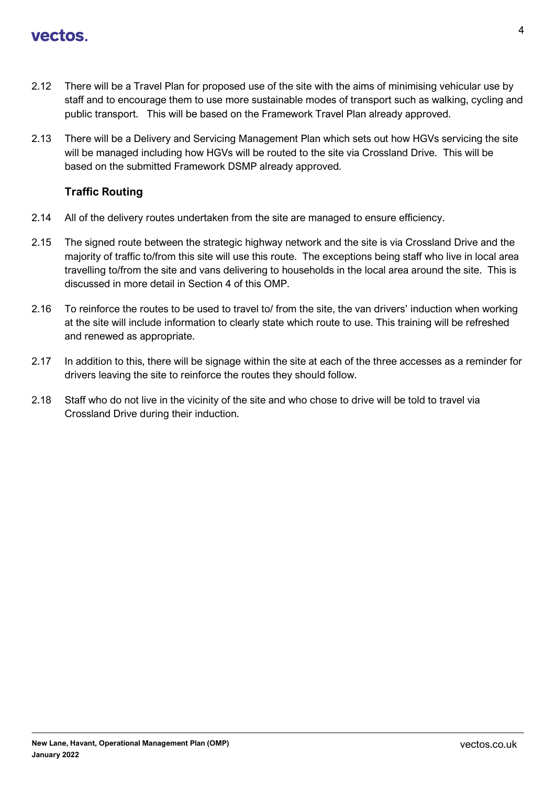- 2.12 There will be a Travel Plan for proposed use of the site with the aims of minimising vehicular use by staff and to encourage them to use more sustainable modes of transport such as walking, cycling and public transport. This will be based on the Framework Travel Plan already approved.
- 2.13 There will be a Delivery and Servicing Management Plan which sets out how HGVs servicing the site will be managed including how HGVs will be routed to the site via Crossland Drive. This will be based on the submitted Framework DSMP already approved.

## **Traffic Routing**

- 2.14 All of the delivery routes undertaken from the site are managed to ensure efficiency.
- 2.15 The signed route between the strategic highway network and the site is via Crossland Drive and the majority of traffic to/from this site will use this route. The exceptions being staff who live in local area travelling to/from the site and vans delivering to households in the local area around the site. This is discussed in more detail in Section 4 of this OMP.
- 2.16 To reinforce the routes to be used to travel to/ from the site, the van drivers' induction when working at the site will include information to clearly state which route to use. This training will be refreshed and renewed as appropriate.
- 2.17 In addition to this, there will be signage within the site at each of the three accesses as a reminder for drivers leaving the site to reinforce the routes they should follow.
- 2.18 Staff who do not live in the vicinity of the site and who chose to drive will be told to travel via Crossland Drive during their induction.

**January 2022**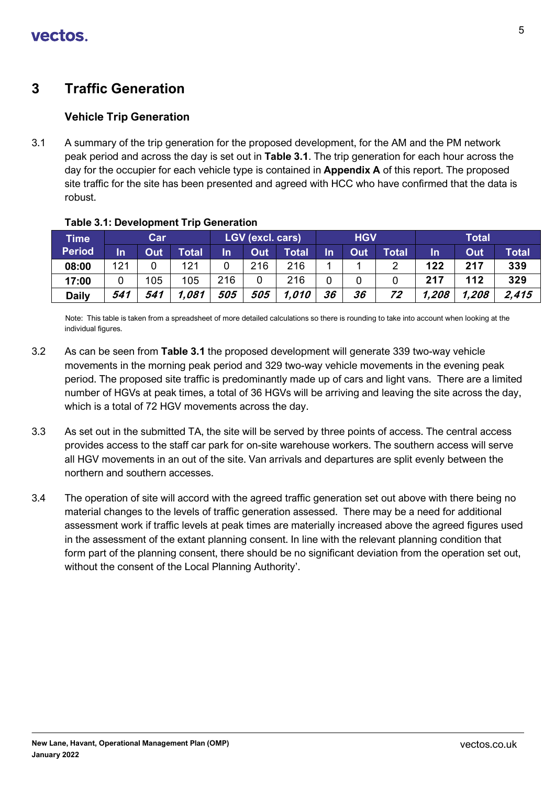# <span id="page-5-0"></span>**3 Traffic Generation**

## **Vehicle Trip Generation**

3.1 A summary of the trip generation for the proposed development, for the AM and the PM network peak period and across the day is set out in **Table 3.1**. The trip generation for each hour across the day for the occupier for each vehicle type is contained in **Appendix A** of this report. The proposed site traffic for the site has been presented and agreed with HCC who have confirmed that the data is robust.

| <b>Time</b>   |     | Car |              |     | <b>LGV (excl. cars)</b> |              |    | <b>HGV</b> |              | <b>Total</b> |       |              |  |  |
|---------------|-----|-----|--------------|-----|-------------------------|--------------|----|------------|--------------|--------------|-------|--------------|--|--|
| <b>Period</b> | In  | Out | <b>Total</b> | In  | Out                     | <b>Total</b> | In | Out        | <b>Total</b> | In           | Out   | <b>Total</b> |  |  |
| 08:00         | 121 |     | 121          |     | 216                     | 216          |    |            |              | 122          | 217   | 339          |  |  |
| 17:00         |     | 105 | 105          | 216 |                         | 216          | 0  |            |              | 217          | 112   | 329          |  |  |
| <b>Daily</b>  | 541 | 541 | 1.081        | 505 | 505                     | 1,010        | 36 | 36         | 72           | 1,208        | 1,208 | 2.415        |  |  |

**Table 3.1: Development Trip Generation** 

Note: This table is taken from a spreadsheet of more detailed calculations so there is rounding to take into account when looking at the individual figures.

- 3.2 As can be seen from **Table 3.1** the proposed development will generate 339 two-way vehicle movements in the morning peak period and 329 two-way vehicle movements in the evening peak period. The proposed site traffic is predominantly made up of cars and light vans. There are a limited number of HGVs at peak times, a total of 36 HGVs will be arriving and leaving the site across the day, which is a total of 72 HGV movements across the day.
- 3.3 As set out in the submitted TA, the site will be served by three points of access. The central access provides access to the staff car park for on-site warehouse workers. The southern access will serve all HGV movements in an out of the site. Van arrivals and departures are split evenly between the northern and southern accesses.
- 3.4 The operation of site will accord with the agreed traffic generation set out above with there being no material changes to the levels of traffic generation assessed. There may be a need for additional assessment work if traffic levels at peak times are materially increased above the agreed figures used in the assessment of the extant planning consent. In line with the relevant planning condition that form part of the planning consent, there should be no significant deviation from the operation set out, without the consent of the Local Planning Authority'.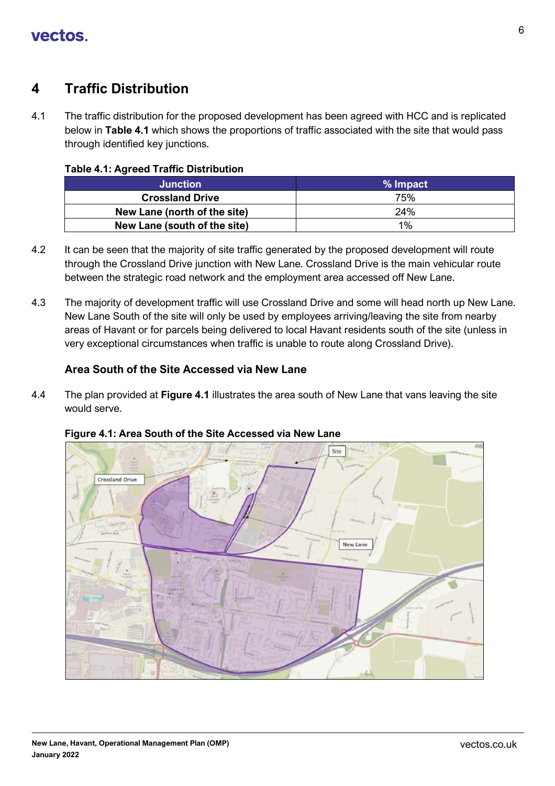# <span id="page-6-0"></span>**4 Traffic Distribution**

4.1 The traffic distribution for the proposed development has been agreed with HCC and is replicated below in **Table 4.1** which shows the proportions of traffic associated with the site that would pass through identified key junctions.

## **Table 4.1: Agreed Traffic Distribution**

| <b>Junction</b>              | % Impact |
|------------------------------|----------|
| <b>Crossland Drive</b>       | 75%      |
| New Lane (north of the site) | 24%      |
| New Lane (south of the site) | 1%       |

- 4.2 It can be seen that the majority of site traffic generated by the proposed development will route through the Crossland Drive junction with New Lane. Crossland Drive is the main vehicular route between the strategic road network and the employment area accessed off New Lane.
- 4.3 The majority of development traffic will use Crossland Drive and some will head north up New Lane. New Lane South of the site will only be used by employees arriving/leaving the site from nearby areas of Havant or for parcels being delivered to local Havant residents south of the site (unless in very exceptional circumstances when traffic is unable to route along Crossland Drive).

## **Area South of the Site Accessed via New Lane**

4.4 The plan provided at **Figure 4.1** illustrates the area south of New Lane that vans leaving the site would serve.



## **Figure 4.1: Area South of the Site Accessed via New Lane**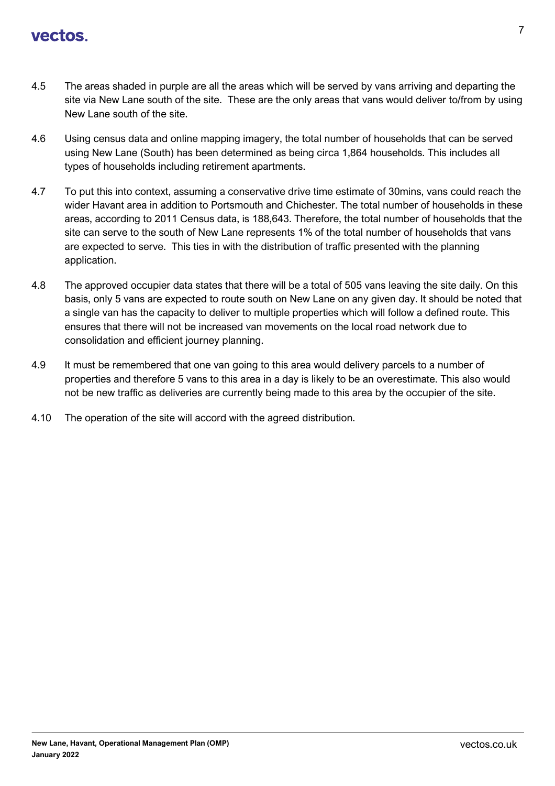- 4.5 The areas shaded in purple are all the areas which will be served by vans arriving and departing the site via New Lane south of the site. These are the only areas that vans would deliver to/from by using New Lane south of the site.
- 4.6 Using census data and online mapping imagery, the total number of households that can be served using New Lane (South) has been determined as being circa 1,864 households. This includes all types of households including retirement apartments.
- 4.7 To put this into context, assuming a conservative drive time estimate of 30mins, vans could reach the wider Havant area in addition to Portsmouth and Chichester. The total number of households in these areas, according to 2011 Census data, is 188,643. Therefore, the total number of households that the site can serve to the south of New Lane represents 1% of the total number of households that vans are expected to serve. This ties in with the distribution of traffic presented with the planning application.
- 4.8 The approved occupier data states that there will be a total of 505 vans leaving the site daily. On this basis, only 5 vans are expected to route south on New Lane on any given day. It should be noted that a single van has the capacity to deliver to multiple properties which will follow a defined route. This ensures that there will not be increased van movements on the local road network due to consolidation and efficient journey planning.
- 4.9 It must be remembered that one van going to this area would delivery parcels to a number of properties and therefore 5 vans to this area in a day is likely to be an overestimate. This also would not be new traffic as deliveries are currently being made to this area by the occupier of the site.
- 4.10 The operation of the site will accord with the agreed distribution.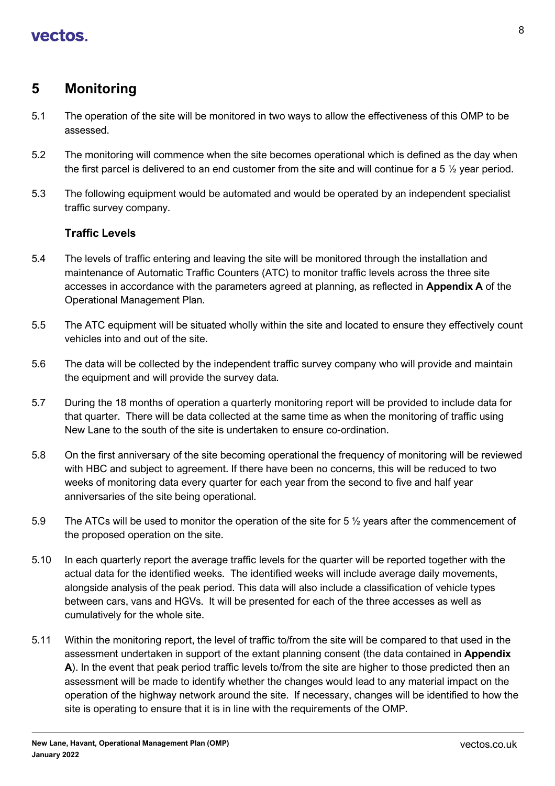## <span id="page-8-0"></span>**5 Monitoring**

- 5.1 The operation of the site will be monitored in two ways to allow the effectiveness of this OMP to be assessed.
- 5.2 The monitoring will commence when the site becomes operational which is defined as the day when the first parcel is delivered to an end customer from the site and will continue for a 5 ½ year period.
- 5.3 The following equipment would be automated and would be operated by an independent specialist traffic survey company.

## **Traffic Levels**

- 5.4 The levels of traffic entering and leaving the site will be monitored through the installation and maintenance of Automatic Traffic Counters (ATC) to monitor traffic levels across the three site accesses in accordance with the parameters agreed at planning, as reflected in **Appendix A** of the Operational Management Plan.
- 5.5 The ATC equipment will be situated wholly within the site and located to ensure they effectively count vehicles into and out of the site.
- 5.6 The data will be collected by the independent traffic survey company who will provide and maintain the equipment and will provide the survey data.
- 5.7 During the 18 months of operation a quarterly monitoring report will be provided to include data for that quarter. There will be data collected at the same time as when the monitoring of traffic using New Lane to the south of the site is undertaken to ensure co-ordination.
- 5.8 On the first anniversary of the site becoming operational the frequency of monitoring will be reviewed with HBC and subject to agreement. If there have been no concerns, this will be reduced to two weeks of monitoring data every quarter for each year from the second to five and half year anniversaries of the site being operational.
- 5.9 The ATCs will be used to monitor the operation of the site for 5  $\frac{1}{2}$  years after the commencement of the proposed operation on the site.
- 5.10 In each quarterly report the average traffic levels for the quarter will be reported together with the actual data for the identified weeks. The identified weeks will include average daily movements, alongside analysis of the peak period. This data will also include a classification of vehicle types between cars, vans and HGVs. It will be presented for each of the three accesses as well as cumulatively for the whole site.
- 5.11 Within the monitoring report, the level of traffic to/from the site will be compared to that used in the assessment undertaken in support of the extant planning consent (the data contained in **Appendix A**). In the event that peak period traffic levels to/from the site are higher to those predicted then an assessment will be made to identify whether the changes would lead to any material impact on the operation of the highway network around the site. If necessary, changes will be identified to how the site is operating to ensure that it is in line with the requirements of the OMP.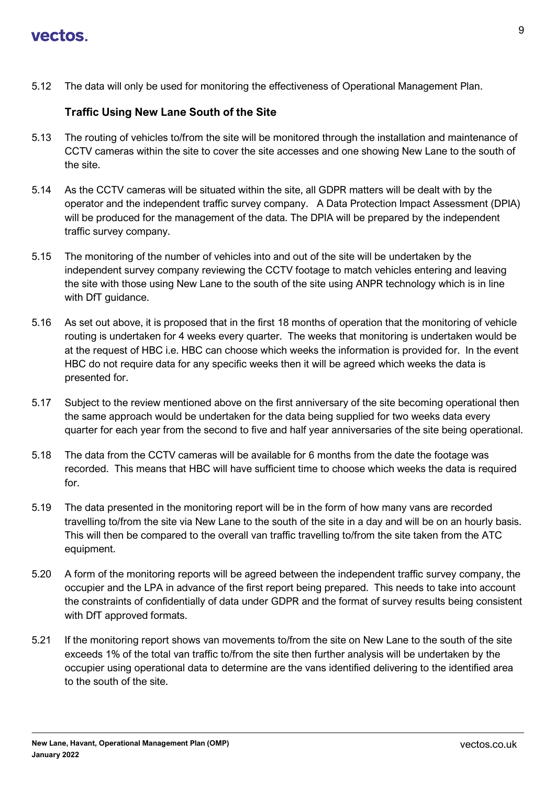5.12 The data will only be used for monitoring the effectiveness of Operational Management Plan.

## **Traffic Using New Lane South of the Site**

- 5.13 The routing of vehicles to/from the site will be monitored through the installation and maintenance of CCTV cameras within the site to cover the site accesses and one showing New Lane to the south of the site.
- 5.14 As the CCTV cameras will be situated within the site, all GDPR matters will be dealt with by the operator and the independent traffic survey company. A Data Protection Impact Assessment (DPIA) will be produced for the management of the data. The DPIA will be prepared by the independent traffic survey company.
- 5.15 The monitoring of the number of vehicles into and out of the site will be undertaken by the independent survey company reviewing the CCTV footage to match vehicles entering and leaving the site with those using New Lane to the south of the site using ANPR technology which is in line with DfT guidance.
- 5.16 As set out above, it is proposed that in the first 18 months of operation that the monitoring of vehicle routing is undertaken for 4 weeks every quarter. The weeks that monitoring is undertaken would be at the request of HBC i.e. HBC can choose which weeks the information is provided for. In the event HBC do not require data for any specific weeks then it will be agreed which weeks the data is presented for.
- 5.17 Subject to the review mentioned above on the first anniversary of the site becoming operational then the same approach would be undertaken for the data being supplied for two weeks data every quarter for each year from the second to five and half year anniversaries of the site being operational.
- 5.18 The data from the CCTV cameras will be available for 6 months from the date the footage was recorded. This means that HBC will have sufficient time to choose which weeks the data is required for.
- 5.19 The data presented in the monitoring report will be in the form of how many vans are recorded travelling to/from the site via New Lane to the south of the site in a day and will be on an hourly basis. This will then be compared to the overall van traffic travelling to/from the site taken from the ATC equipment.
- 5.20 A form of the monitoring reports will be agreed between the independent traffic survey company, the occupier and the LPA in advance of the first report being prepared. This needs to take into account the constraints of confidentially of data under GDPR and the format of survey results being consistent with DfT approved formats.
- 5.21 If the monitoring report shows van movements to/from the site on New Lane to the south of the site exceeds 1% of the total van traffic to/from the site then further analysis will be undertaken by the occupier using operational data to determine are the vans identified delivering to the identified area to the south of the site.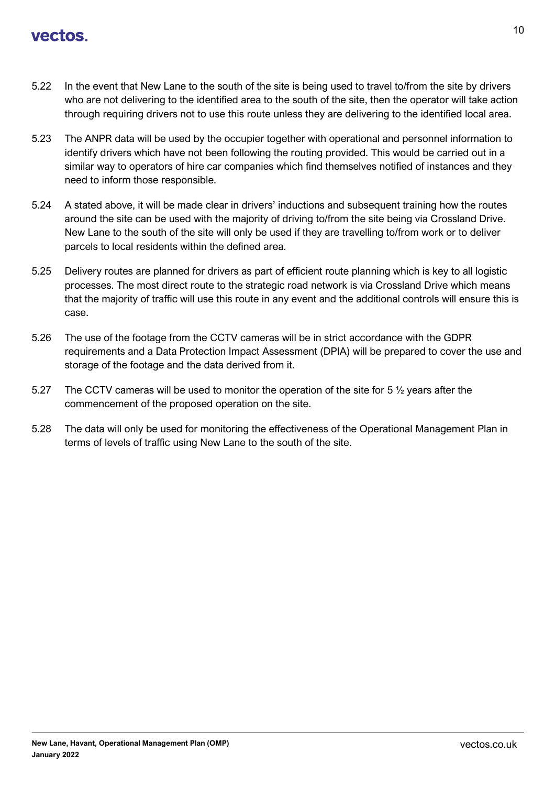- 5.22 In the event that New Lane to the south of the site is being used to travel to/from the site by drivers who are not delivering to the identified area to the south of the site, then the operator will take action through requiring drivers not to use this route unless they are delivering to the identified local area.
- 5.23 The ANPR data will be used by the occupier together with operational and personnel information to identify drivers which have not been following the routing provided. This would be carried out in a similar way to operators of hire car companies which find themselves notified of instances and they need to inform those responsible.
- 5.24 A stated above, it will be made clear in drivers' inductions and subsequent training how the routes around the site can be used with the majority of driving to/from the site being via Crossland Drive. New Lane to the south of the site will only be used if they are travelling to/from work or to deliver parcels to local residents within the defined area.
- 5.25 Delivery routes are planned for drivers as part of efficient route planning which is key to all logistic processes. The most direct route to the strategic road network is via Crossland Drive which means that the majority of traffic will use this route in any event and the additional controls will ensure this is case.
- 5.26 The use of the footage from the CCTV cameras will be in strict accordance with the GDPR requirements and a Data Protection Impact Assessment (DPIA) will be prepared to cover the use and storage of the footage and the data derived from it.
- 5.27 The CCTV cameras will be used to monitor the operation of the site for 5  $\frac{1}{2}$  years after the commencement of the proposed operation on the site.
- 5.28 The data will only be used for monitoring the effectiveness of the Operational Management Plan in terms of levels of traffic using New Lane to the south of the site.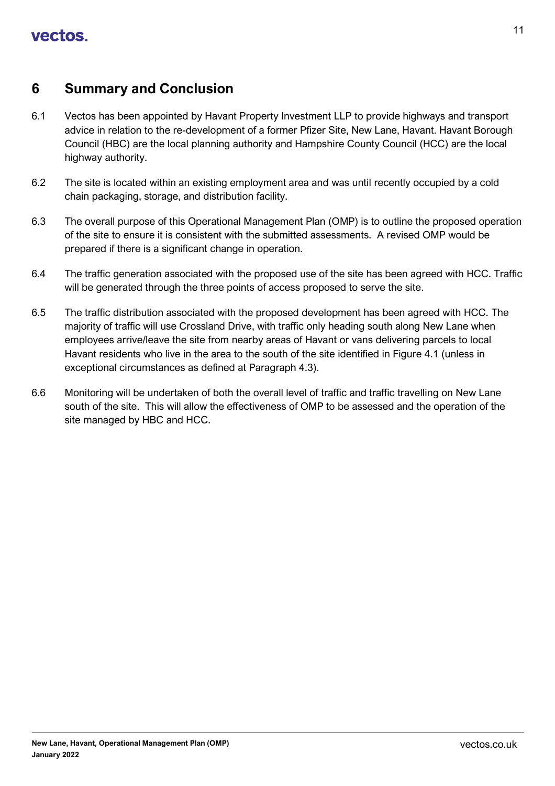## <span id="page-11-0"></span>**6 Summary and Conclusion**

- 6.1 Vectos has been appointed by Havant Property Investment LLP to provide highways and transport advice in relation to the re-development of a former Pfizer Site, New Lane, Havant. Havant Borough Council (HBC) are the local planning authority and Hampshire County Council (HCC) are the local highway authority.
- 6.2 The site is located within an existing employment area and was until recently occupied by a cold chain packaging, storage, and distribution facility.
- 6.3 The overall purpose of this Operational Management Plan (OMP) is to outline the proposed operation of the site to ensure it is consistent with the submitted assessments. A revised OMP would be prepared if there is a significant change in operation.
- 6.4 The traffic generation associated with the proposed use of the site has been agreed with HCC. Traffic will be generated through the three points of access proposed to serve the site.
- 6.5 The traffic distribution associated with the proposed development has been agreed with HCC. The majority of traffic will use Crossland Drive, with traffic only heading south along New Lane when employees arrive/leave the site from nearby areas of Havant or vans delivering parcels to local Havant residents who live in the area to the south of the site identified in Figure 4.1 (unless in exceptional circumstances as defined at Paragraph 4.3).
- 6.6 Monitoring will be undertaken of both the overall level of traffic and traffic travelling on New Lane south of the site. This will allow the effectiveness of OMP to be assessed and the operation of the site managed by HBC and HCC.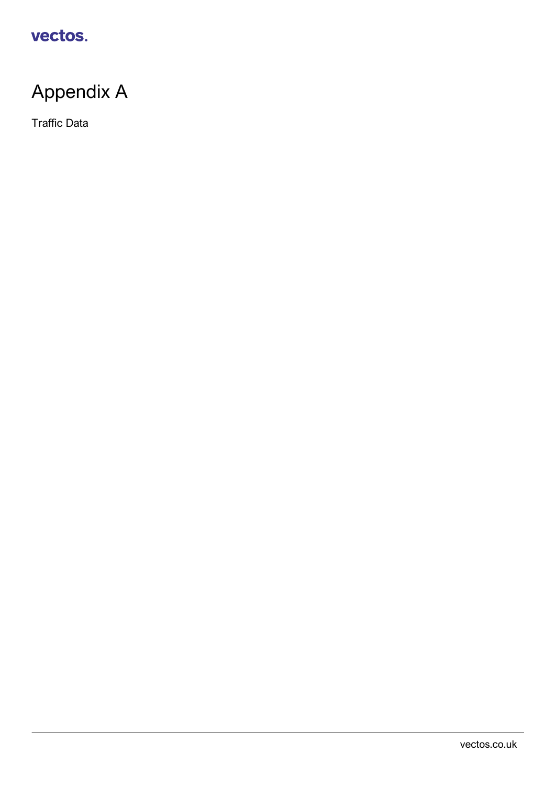# Appendix A

Traffic Data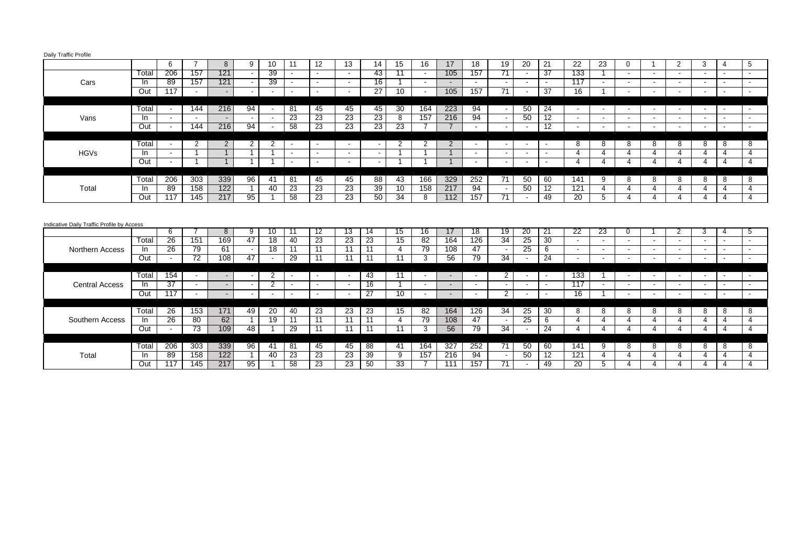| Daily Traffic Profile |  |  |
|-----------------------|--|--|
|                       |  |  |

| 157<br>133<br>206<br>121<br>39<br>43<br>11<br>105<br>157<br>71<br>-37<br>Total<br>$\sim$<br>$\sim$<br>$\sim$<br>$\sim$<br>$\sim$<br>$\sim$<br>$\sim$<br>$\sim$<br>$\sim$<br>$\sim$<br>89<br>157<br>121<br>39<br>16<br>117<br>Cars<br>-In<br>$\sim$<br>$\sim$<br>$\sim$<br>$\overline{\phantom{a}}$<br>$\sim$<br>$\sim$<br>$\sim$<br>$\sim$<br>$\sim$<br>$\sim$<br>$\sim$<br>$\sim$<br>$\overline{\phantom{a}}$<br>$\sim$<br>117<br>10<br>157<br>71<br>$\overline{37}$<br>$\overline{16}$<br>Out<br>27<br>105<br>$\overline{\phantom{a}}$<br>$\sim$<br>$\sim$<br>$\sim$<br>$\overline{\phantom{a}}$<br><b>.</b><br>$\overline{\phantom{a}}$<br>$\overline{\phantom{a}}$<br>$\sim$<br>$\blacksquare$<br>$\sim$<br>94<br>Total<br>216<br>94<br>45<br>45<br>30<br>164<br>223<br>50<br>24<br>144<br>45<br>81<br>$\sim$<br>$\sim$<br>$\sim$<br>$\overline{\phantom{a}}$<br>$\overline{\phantom{a}}$<br>$\overline{\phantom{a}}$<br>23<br>23<br>23<br>157<br>94<br>$12 \overline{ }$<br>23<br>8<br>216<br>50<br>Vans<br>In.<br>$\sim$<br>$\sim$<br>$\sim$<br>$\sim$<br>$\sim$<br>$\sim$<br>$\sim$<br>$\blacksquare$<br>$\overline{\phantom{a}}$<br>$\sim$<br>$\overline{\phantom{a}}$<br>$\blacksquare$<br>$\overline{\phantom{a}}$<br>$\overline{\phantom{a}}$<br>216<br>94<br>58<br>23<br>23<br>23<br>$\overline{12}$<br>Out<br>144<br>$\overline{23}$<br>$\overline{7}$<br>$\sim$<br>$\sim$<br>$\sim$<br>$\sim$<br>$\sim$<br>$\sim$<br>$\sim$<br>$\blacksquare$<br>$\blacksquare$<br>$\sim$<br>$\overline{\phantom{a}}$<br>$\overline{2}$<br>2<br>Total<br>2<br>2<br>2<br>2<br>2<br>8<br>8<br>8<br>8<br>8<br>8<br>8<br>8<br>$\sim$<br>$\sim$<br>$\sim$<br>$\sim$<br>$\blacksquare$<br>$\overline{\phantom{a}}$<br>$\sim$<br>$\sim$<br><b>HGVs</b><br>-ln<br>4<br>4<br>4<br>4<br>$\sim$<br>4<br>$\overline{4}$<br>4<br>4<br>$\overline{\phantom{a}}$<br>$\sim$<br>$\sim$<br>$\sim$<br>$\sim$<br>Out<br>4<br>4<br>-1<br>4<br>4<br>4<br>4<br>$\overline{4}$<br>4<br>$\sim$<br>$\sim$<br>$\overline{\phantom{a}}$<br>$\sim$<br>$\sim$<br>$\sim$<br>$\sim$<br>$\sim$<br>339<br>303<br>252<br>206<br>96<br>45<br>88<br>43<br>166<br>329<br>50<br>60<br>Total<br>81<br>45<br>71<br>9<br>8<br>8<br>8<br>141<br>8<br>8<br>8<br>41<br>39<br>89<br>122<br>158<br>23<br>23<br>10<br>158<br>217<br>94<br>12<br>40<br>23<br>50<br>121<br>Total<br>$\overline{4}$<br>-ln<br>4<br>4<br>4<br>4<br>4<br>4<br>$\sim$<br>117<br>58<br>23<br>50<br>Out<br>$\overline{145}$<br>217<br>95<br>$\overline{23}$<br>$\overline{34}$<br>112<br>157<br>71<br>49<br>$\overline{20}$<br>8<br>5<br>$\overline{4}$<br>$\overline{4}$<br>4<br>$\overline{4}$<br>4<br>$\overline{4}$<br>Indicative Daily Traffic Profile by Access<br>$\overline{19}$<br>6<br>8<br>12<br>13<br>$\overline{15}$<br>16<br>17<br>18<br>20<br>21<br>22<br>23<br>3<br>9<br>10<br>11<br>14<br>2<br>5<br>0<br>4<br>26<br>169<br>34<br>25<br>23<br>82<br>164<br>30<br>151<br>47<br>$\overline{18}$<br>23<br>23<br>15<br>126<br>Total<br>40<br>$\sim$<br>$\sim$<br>$\sim$<br>$\overline{\phantom{a}}$<br>$\sim$<br>$\sim$<br>$\overline{\phantom{a}}$<br>26<br>$\overline{79}$<br>61<br>$\overline{11}$<br>$\overline{11}$<br>79<br>47<br>25<br>$\overline{18}$<br>108<br>6<br>11<br>11<br><b>Northern Access</b><br>In<br>4<br>$\sim$<br>$\sim$<br>$\overline{\phantom{a}}$<br>$\sim$<br>$\overline{\phantom{a}}$<br>$\sim$<br>$\sim$<br>$\overline{\phantom{a}}$<br>$\sim$<br>$\overline{\phantom{a}}$<br>72<br>79<br>34<br>24<br>Out<br>108<br>47<br>29<br>$\overline{11}$<br>56<br>11<br>$\overline{11}$<br>3<br>11<br>$\sim$<br>$\sim$<br>$\sim$<br>$\sim$<br>$\sim$<br>$\overline{\phantom{a}}$<br>$\blacksquare$<br>$\sim$<br>154<br>133<br>Total<br>43<br>$\mathbf{2}$<br>2<br>11<br>$\sim$<br>$\sim$<br>$\blacksquare$<br>$\sim$<br>$\overline{\phantom{a}}$<br>$\sim$<br>$\sim$<br>$\sim$<br>$\overline{\phantom{a}}$<br>$\sim$<br>$\overline{\phantom{a}}$<br>$\sim$<br>$\sim$<br>۰.<br>$\overline{\phantom{a}}$<br>37<br>16<br>117<br>In<br>2<br><b>Central Access</b><br>$\sim$<br>$\sim$<br>$\sim$<br>۰<br>$\sim$<br>$\sim$<br>$\sim$<br>$\sim$<br>$\sim$<br>$\sim$<br>$\sim$<br>$\sim$<br>$\sim$<br>$\sim$<br>$\sim$<br>$\sim$<br>$\sim$<br>$\overline{\phantom{a}}$<br>$\sim$<br>Out<br>117<br>27<br>10<br>$\overline{2}$<br>$\overline{16}$<br>$\sim$<br>$\sim$<br>$\sim$<br>$\sim$<br>$\sim$<br>$\sim$<br>$\sim$<br>$\blacksquare$<br>$\sim$<br>$\sim$<br>$\blacksquare$<br>$\sim$<br>$\blacksquare$<br>$\sim$<br>$\sim$<br>$\sim$<br>$\overline{\phantom{a}}$<br>$\sim$<br>34<br>26<br>153<br>171<br>49<br>20<br>23<br>23<br>23<br>15<br>82<br>164<br>126<br>25<br>30<br>Total<br>40<br>8<br>8<br>8<br>8<br>8<br>8<br>8<br>8<br>26<br>25<br>80<br>62<br>19<br>11<br>79<br>47<br>$\overline{11}$<br>108<br>$\overline{11}$<br>4<br>6<br>4<br>4<br>$\overline{4}$<br>Southern Access<br>11<br>$\overline{4}$<br>In<br>4<br>4<br>4<br>4<br>$\sim$<br>Out<br>$\overline{73}$<br>109<br>48<br>29<br>11<br>11<br>$\overline{11}$<br>56<br>$\overline{79}$<br>$\overline{34}$<br>24<br>11<br>3<br>4<br>$\overline{4}$<br>4<br>4<br>4<br>$\overline{4}$<br>4<br>$\overline{4}$<br>$\sim$<br>$\sim$ |  | 6 | $\overline{7}$ | 8 | 9 | 10 | 11 | 12 | 13 | 14 | 15 | 16 | 17 | 18 | 19 | 20 | 21 | 22 | 23 | $\mathbf 0$ | 2 | 3 | 4 | 5 |
|-----------------------------------------------------------------------------------------------------------------------------------------------------------------------------------------------------------------------------------------------------------------------------------------------------------------------------------------------------------------------------------------------------------------------------------------------------------------------------------------------------------------------------------------------------------------------------------------------------------------------------------------------------------------------------------------------------------------------------------------------------------------------------------------------------------------------------------------------------------------------------------------------------------------------------------------------------------------------------------------------------------------------------------------------------------------------------------------------------------------------------------------------------------------------------------------------------------------------------------------------------------------------------------------------------------------------------------------------------------------------------------------------------------------------------------------------------------------------------------------------------------------------------------------------------------------------------------------------------------------------------------------------------------------------------------------------------------------------------------------------------------------------------------------------------------------------------------------------------------------------------------------------------------------------------------------------------------------------------------------------------------------------------------------------------------------------------------------------------------------------------------------------------------------------------------------------------------------------------------------------------------------------------------------------------------------------------------------------------------------------------------------------------------------------------------------------------------------------------------------------------------------------------------------------------------------------------------------------------------------------------------------------------------------------------------------------------------------------------------------------------------------------------------------------------------------------------------------------------------------------------------------------------------------------------------------------------------------------------------------------------------------------------------------------------------------------------------------------------------------------------------------------------------------------------------------------------------------------------------------------------------------------------------------------------------------------------------------------------------------------------------------------------------------------------------------------------------------------------------------------------------------------------------------------------------------------------------------------------------------------------------------------------------------------------------------------------------------------------------------------------------------------------------------------------------------------------------------------------------------------------------------------------------------------------------------------------------------------------------------------------------------------------------------------------------------------------------------------------------------------------------------------------------------------------------------------------------------------------------------------------------------------------------------------------------------------------------------------------------------------------------------------------------------------------------------------------------------------------------------------------------------------------------------------------------------------------------------------------------------------------------------------------------------------------------------------------------------------------------------------------------------------------------------------------------------------------------------------------------------------------------------------------------------------------------------------------------------------------------------------------------------------------------------------------------------------------------------------------------------------------------------------|--|---|----------------|---|---|----|----|----|----|----|----|----|----|----|----|----|----|----|----|-------------|---|---|---|---|
|                                                                                                                                                                                                                                                                                                                                                                                                                                                                                                                                                                                                                                                                                                                                                                                                                                                                                                                                                                                                                                                                                                                                                                                                                                                                                                                                                                                                                                                                                                                                                                                                                                                                                                                                                                                                                                                                                                                                                                                                                                                                                                                                                                                                                                                                                                                                                                                                                                                                                                                                                                                                                                                                                                                                                                                                                                                                                                                                                                                                                                                                                                                                                                                                                                                                                                                                                                                                                                                                                                                                                                                                                                                                                                                                                                                                                                                                                                                                                                                                                                                                                                                                                                                                                                                                                                                                                                                                                                                                                                                                                                                                                                                                                                                                                                                                                                                                                                                                                                                                                                                                                                                                               |  |   |                |   |   |    |    |    |    |    |    |    |    |    |    |    |    |    |    |             |   |   |   |   |
|                                                                                                                                                                                                                                                                                                                                                                                                                                                                                                                                                                                                                                                                                                                                                                                                                                                                                                                                                                                                                                                                                                                                                                                                                                                                                                                                                                                                                                                                                                                                                                                                                                                                                                                                                                                                                                                                                                                                                                                                                                                                                                                                                                                                                                                                                                                                                                                                                                                                                                                                                                                                                                                                                                                                                                                                                                                                                                                                                                                                                                                                                                                                                                                                                                                                                                                                                                                                                                                                                                                                                                                                                                                                                                                                                                                                                                                                                                                                                                                                                                                                                                                                                                                                                                                                                                                                                                                                                                                                                                                                                                                                                                                                                                                                                                                                                                                                                                                                                                                                                                                                                                                                               |  |   |                |   |   |    |    |    |    |    |    |    |    |    |    |    |    |    |    |             |   |   |   |   |
|                                                                                                                                                                                                                                                                                                                                                                                                                                                                                                                                                                                                                                                                                                                                                                                                                                                                                                                                                                                                                                                                                                                                                                                                                                                                                                                                                                                                                                                                                                                                                                                                                                                                                                                                                                                                                                                                                                                                                                                                                                                                                                                                                                                                                                                                                                                                                                                                                                                                                                                                                                                                                                                                                                                                                                                                                                                                                                                                                                                                                                                                                                                                                                                                                                                                                                                                                                                                                                                                                                                                                                                                                                                                                                                                                                                                                                                                                                                                                                                                                                                                                                                                                                                                                                                                                                                                                                                                                                                                                                                                                                                                                                                                                                                                                                                                                                                                                                                                                                                                                                                                                                                                               |  |   |                |   |   |    |    |    |    |    |    |    |    |    |    |    |    |    |    |             |   |   |   |   |
|                                                                                                                                                                                                                                                                                                                                                                                                                                                                                                                                                                                                                                                                                                                                                                                                                                                                                                                                                                                                                                                                                                                                                                                                                                                                                                                                                                                                                                                                                                                                                                                                                                                                                                                                                                                                                                                                                                                                                                                                                                                                                                                                                                                                                                                                                                                                                                                                                                                                                                                                                                                                                                                                                                                                                                                                                                                                                                                                                                                                                                                                                                                                                                                                                                                                                                                                                                                                                                                                                                                                                                                                                                                                                                                                                                                                                                                                                                                                                                                                                                                                                                                                                                                                                                                                                                                                                                                                                                                                                                                                                                                                                                                                                                                                                                                                                                                                                                                                                                                                                                                                                                                                               |  |   |                |   |   |    |    |    |    |    |    |    |    |    |    |    |    |    |    |             |   |   |   |   |
|                                                                                                                                                                                                                                                                                                                                                                                                                                                                                                                                                                                                                                                                                                                                                                                                                                                                                                                                                                                                                                                                                                                                                                                                                                                                                                                                                                                                                                                                                                                                                                                                                                                                                                                                                                                                                                                                                                                                                                                                                                                                                                                                                                                                                                                                                                                                                                                                                                                                                                                                                                                                                                                                                                                                                                                                                                                                                                                                                                                                                                                                                                                                                                                                                                                                                                                                                                                                                                                                                                                                                                                                                                                                                                                                                                                                                                                                                                                                                                                                                                                                                                                                                                                                                                                                                                                                                                                                                                                                                                                                                                                                                                                                                                                                                                                                                                                                                                                                                                                                                                                                                                                                               |  |   |                |   |   |    |    |    |    |    |    |    |    |    |    |    |    |    |    |             |   |   |   |   |
|                                                                                                                                                                                                                                                                                                                                                                                                                                                                                                                                                                                                                                                                                                                                                                                                                                                                                                                                                                                                                                                                                                                                                                                                                                                                                                                                                                                                                                                                                                                                                                                                                                                                                                                                                                                                                                                                                                                                                                                                                                                                                                                                                                                                                                                                                                                                                                                                                                                                                                                                                                                                                                                                                                                                                                                                                                                                                                                                                                                                                                                                                                                                                                                                                                                                                                                                                                                                                                                                                                                                                                                                                                                                                                                                                                                                                                                                                                                                                                                                                                                                                                                                                                                                                                                                                                                                                                                                                                                                                                                                                                                                                                                                                                                                                                                                                                                                                                                                                                                                                                                                                                                                               |  |   |                |   |   |    |    |    |    |    |    |    |    |    |    |    |    |    |    |             |   |   |   |   |
|                                                                                                                                                                                                                                                                                                                                                                                                                                                                                                                                                                                                                                                                                                                                                                                                                                                                                                                                                                                                                                                                                                                                                                                                                                                                                                                                                                                                                                                                                                                                                                                                                                                                                                                                                                                                                                                                                                                                                                                                                                                                                                                                                                                                                                                                                                                                                                                                                                                                                                                                                                                                                                                                                                                                                                                                                                                                                                                                                                                                                                                                                                                                                                                                                                                                                                                                                                                                                                                                                                                                                                                                                                                                                                                                                                                                                                                                                                                                                                                                                                                                                                                                                                                                                                                                                                                                                                                                                                                                                                                                                                                                                                                                                                                                                                                                                                                                                                                                                                                                                                                                                                                                               |  |   |                |   |   |    |    |    |    |    |    |    |    |    |    |    |    |    |    |             |   |   |   |   |
|                                                                                                                                                                                                                                                                                                                                                                                                                                                                                                                                                                                                                                                                                                                                                                                                                                                                                                                                                                                                                                                                                                                                                                                                                                                                                                                                                                                                                                                                                                                                                                                                                                                                                                                                                                                                                                                                                                                                                                                                                                                                                                                                                                                                                                                                                                                                                                                                                                                                                                                                                                                                                                                                                                                                                                                                                                                                                                                                                                                                                                                                                                                                                                                                                                                                                                                                                                                                                                                                                                                                                                                                                                                                                                                                                                                                                                                                                                                                                                                                                                                                                                                                                                                                                                                                                                                                                                                                                                                                                                                                                                                                                                                                                                                                                                                                                                                                                                                                                                                                                                                                                                                                               |  |   |                |   |   |    |    |    |    |    |    |    |    |    |    |    |    |    |    |             |   |   |   |   |
|                                                                                                                                                                                                                                                                                                                                                                                                                                                                                                                                                                                                                                                                                                                                                                                                                                                                                                                                                                                                                                                                                                                                                                                                                                                                                                                                                                                                                                                                                                                                                                                                                                                                                                                                                                                                                                                                                                                                                                                                                                                                                                                                                                                                                                                                                                                                                                                                                                                                                                                                                                                                                                                                                                                                                                                                                                                                                                                                                                                                                                                                                                                                                                                                                                                                                                                                                                                                                                                                                                                                                                                                                                                                                                                                                                                                                                                                                                                                                                                                                                                                                                                                                                                                                                                                                                                                                                                                                                                                                                                                                                                                                                                                                                                                                                                                                                                                                                                                                                                                                                                                                                                                               |  |   |                |   |   |    |    |    |    |    |    |    |    |    |    |    |    |    |    |             |   |   |   |   |
|                                                                                                                                                                                                                                                                                                                                                                                                                                                                                                                                                                                                                                                                                                                                                                                                                                                                                                                                                                                                                                                                                                                                                                                                                                                                                                                                                                                                                                                                                                                                                                                                                                                                                                                                                                                                                                                                                                                                                                                                                                                                                                                                                                                                                                                                                                                                                                                                                                                                                                                                                                                                                                                                                                                                                                                                                                                                                                                                                                                                                                                                                                                                                                                                                                                                                                                                                                                                                                                                                                                                                                                                                                                                                                                                                                                                                                                                                                                                                                                                                                                                                                                                                                                                                                                                                                                                                                                                                                                                                                                                                                                                                                                                                                                                                                                                                                                                                                                                                                                                                                                                                                                                               |  |   |                |   |   |    |    |    |    |    |    |    |    |    |    |    |    |    |    |             |   |   |   |   |
|                                                                                                                                                                                                                                                                                                                                                                                                                                                                                                                                                                                                                                                                                                                                                                                                                                                                                                                                                                                                                                                                                                                                                                                                                                                                                                                                                                                                                                                                                                                                                                                                                                                                                                                                                                                                                                                                                                                                                                                                                                                                                                                                                                                                                                                                                                                                                                                                                                                                                                                                                                                                                                                                                                                                                                                                                                                                                                                                                                                                                                                                                                                                                                                                                                                                                                                                                                                                                                                                                                                                                                                                                                                                                                                                                                                                                                                                                                                                                                                                                                                                                                                                                                                                                                                                                                                                                                                                                                                                                                                                                                                                                                                                                                                                                                                                                                                                                                                                                                                                                                                                                                                                               |  |   |                |   |   |    |    |    |    |    |    |    |    |    |    |    |    |    |    |             |   |   |   |   |
|                                                                                                                                                                                                                                                                                                                                                                                                                                                                                                                                                                                                                                                                                                                                                                                                                                                                                                                                                                                                                                                                                                                                                                                                                                                                                                                                                                                                                                                                                                                                                                                                                                                                                                                                                                                                                                                                                                                                                                                                                                                                                                                                                                                                                                                                                                                                                                                                                                                                                                                                                                                                                                                                                                                                                                                                                                                                                                                                                                                                                                                                                                                                                                                                                                                                                                                                                                                                                                                                                                                                                                                                                                                                                                                                                                                                                                                                                                                                                                                                                                                                                                                                                                                                                                                                                                                                                                                                                                                                                                                                                                                                                                                                                                                                                                                                                                                                                                                                                                                                                                                                                                                                               |  |   |                |   |   |    |    |    |    |    |    |    |    |    |    |    |    |    |    |             |   |   |   |   |
|                                                                                                                                                                                                                                                                                                                                                                                                                                                                                                                                                                                                                                                                                                                                                                                                                                                                                                                                                                                                                                                                                                                                                                                                                                                                                                                                                                                                                                                                                                                                                                                                                                                                                                                                                                                                                                                                                                                                                                                                                                                                                                                                                                                                                                                                                                                                                                                                                                                                                                                                                                                                                                                                                                                                                                                                                                                                                                                                                                                                                                                                                                                                                                                                                                                                                                                                                                                                                                                                                                                                                                                                                                                                                                                                                                                                                                                                                                                                                                                                                                                                                                                                                                                                                                                                                                                                                                                                                                                                                                                                                                                                                                                                                                                                                                                                                                                                                                                                                                                                                                                                                                                                               |  |   |                |   |   |    |    |    |    |    |    |    |    |    |    |    |    |    |    |             |   |   |   |   |
|                                                                                                                                                                                                                                                                                                                                                                                                                                                                                                                                                                                                                                                                                                                                                                                                                                                                                                                                                                                                                                                                                                                                                                                                                                                                                                                                                                                                                                                                                                                                                                                                                                                                                                                                                                                                                                                                                                                                                                                                                                                                                                                                                                                                                                                                                                                                                                                                                                                                                                                                                                                                                                                                                                                                                                                                                                                                                                                                                                                                                                                                                                                                                                                                                                                                                                                                                                                                                                                                                                                                                                                                                                                                                                                                                                                                                                                                                                                                                                                                                                                                                                                                                                                                                                                                                                                                                                                                                                                                                                                                                                                                                                                                                                                                                                                                                                                                                                                                                                                                                                                                                                                                               |  |   |                |   |   |    |    |    |    |    |    |    |    |    |    |    |    |    |    |             |   |   |   |   |
|                                                                                                                                                                                                                                                                                                                                                                                                                                                                                                                                                                                                                                                                                                                                                                                                                                                                                                                                                                                                                                                                                                                                                                                                                                                                                                                                                                                                                                                                                                                                                                                                                                                                                                                                                                                                                                                                                                                                                                                                                                                                                                                                                                                                                                                                                                                                                                                                                                                                                                                                                                                                                                                                                                                                                                                                                                                                                                                                                                                                                                                                                                                                                                                                                                                                                                                                                                                                                                                                                                                                                                                                                                                                                                                                                                                                                                                                                                                                                                                                                                                                                                                                                                                                                                                                                                                                                                                                                                                                                                                                                                                                                                                                                                                                                                                                                                                                                                                                                                                                                                                                                                                                               |  |   |                |   |   |    |    |    |    |    |    |    |    |    |    |    |    |    |    |             |   |   |   |   |
|                                                                                                                                                                                                                                                                                                                                                                                                                                                                                                                                                                                                                                                                                                                                                                                                                                                                                                                                                                                                                                                                                                                                                                                                                                                                                                                                                                                                                                                                                                                                                                                                                                                                                                                                                                                                                                                                                                                                                                                                                                                                                                                                                                                                                                                                                                                                                                                                                                                                                                                                                                                                                                                                                                                                                                                                                                                                                                                                                                                                                                                                                                                                                                                                                                                                                                                                                                                                                                                                                                                                                                                                                                                                                                                                                                                                                                                                                                                                                                                                                                                                                                                                                                                                                                                                                                                                                                                                                                                                                                                                                                                                                                                                                                                                                                                                                                                                                                                                                                                                                                                                                                                                               |  |   |                |   |   |    |    |    |    |    |    |    |    |    |    |    |    |    |    |             |   |   |   |   |
|                                                                                                                                                                                                                                                                                                                                                                                                                                                                                                                                                                                                                                                                                                                                                                                                                                                                                                                                                                                                                                                                                                                                                                                                                                                                                                                                                                                                                                                                                                                                                                                                                                                                                                                                                                                                                                                                                                                                                                                                                                                                                                                                                                                                                                                                                                                                                                                                                                                                                                                                                                                                                                                                                                                                                                                                                                                                                                                                                                                                                                                                                                                                                                                                                                                                                                                                                                                                                                                                                                                                                                                                                                                                                                                                                                                                                                                                                                                                                                                                                                                                                                                                                                                                                                                                                                                                                                                                                                                                                                                                                                                                                                                                                                                                                                                                                                                                                                                                                                                                                                                                                                                                               |  |   |                |   |   |    |    |    |    |    |    |    |    |    |    |    |    |    |    |             |   |   |   |   |
|                                                                                                                                                                                                                                                                                                                                                                                                                                                                                                                                                                                                                                                                                                                                                                                                                                                                                                                                                                                                                                                                                                                                                                                                                                                                                                                                                                                                                                                                                                                                                                                                                                                                                                                                                                                                                                                                                                                                                                                                                                                                                                                                                                                                                                                                                                                                                                                                                                                                                                                                                                                                                                                                                                                                                                                                                                                                                                                                                                                                                                                                                                                                                                                                                                                                                                                                                                                                                                                                                                                                                                                                                                                                                                                                                                                                                                                                                                                                                                                                                                                                                                                                                                                                                                                                                                                                                                                                                                                                                                                                                                                                                                                                                                                                                                                                                                                                                                                                                                                                                                                                                                                                               |  |   |                |   |   |    |    |    |    |    |    |    |    |    |    |    |    |    |    |             |   |   |   |   |
|                                                                                                                                                                                                                                                                                                                                                                                                                                                                                                                                                                                                                                                                                                                                                                                                                                                                                                                                                                                                                                                                                                                                                                                                                                                                                                                                                                                                                                                                                                                                                                                                                                                                                                                                                                                                                                                                                                                                                                                                                                                                                                                                                                                                                                                                                                                                                                                                                                                                                                                                                                                                                                                                                                                                                                                                                                                                                                                                                                                                                                                                                                                                                                                                                                                                                                                                                                                                                                                                                                                                                                                                                                                                                                                                                                                                                                                                                                                                                                                                                                                                                                                                                                                                                                                                                                                                                                                                                                                                                                                                                                                                                                                                                                                                                                                                                                                                                                                                                                                                                                                                                                                                               |  |   |                |   |   |    |    |    |    |    |    |    |    |    |    |    |    |    |    |             |   |   |   |   |
|                                                                                                                                                                                                                                                                                                                                                                                                                                                                                                                                                                                                                                                                                                                                                                                                                                                                                                                                                                                                                                                                                                                                                                                                                                                                                                                                                                                                                                                                                                                                                                                                                                                                                                                                                                                                                                                                                                                                                                                                                                                                                                                                                                                                                                                                                                                                                                                                                                                                                                                                                                                                                                                                                                                                                                                                                                                                                                                                                                                                                                                                                                                                                                                                                                                                                                                                                                                                                                                                                                                                                                                                                                                                                                                                                                                                                                                                                                                                                                                                                                                                                                                                                                                                                                                                                                                                                                                                                                                                                                                                                                                                                                                                                                                                                                                                                                                                                                                                                                                                                                                                                                                                               |  |   |                |   |   |    |    |    |    |    |    |    |    |    |    |    |    |    |    |             |   |   |   |   |
|                                                                                                                                                                                                                                                                                                                                                                                                                                                                                                                                                                                                                                                                                                                                                                                                                                                                                                                                                                                                                                                                                                                                                                                                                                                                                                                                                                                                                                                                                                                                                                                                                                                                                                                                                                                                                                                                                                                                                                                                                                                                                                                                                                                                                                                                                                                                                                                                                                                                                                                                                                                                                                                                                                                                                                                                                                                                                                                                                                                                                                                                                                                                                                                                                                                                                                                                                                                                                                                                                                                                                                                                                                                                                                                                                                                                                                                                                                                                                                                                                                                                                                                                                                                                                                                                                                                                                                                                                                                                                                                                                                                                                                                                                                                                                                                                                                                                                                                                                                                                                                                                                                                                               |  |   |                |   |   |    |    |    |    |    |    |    |    |    |    |    |    |    |    |             |   |   |   |   |
|                                                                                                                                                                                                                                                                                                                                                                                                                                                                                                                                                                                                                                                                                                                                                                                                                                                                                                                                                                                                                                                                                                                                                                                                                                                                                                                                                                                                                                                                                                                                                                                                                                                                                                                                                                                                                                                                                                                                                                                                                                                                                                                                                                                                                                                                                                                                                                                                                                                                                                                                                                                                                                                                                                                                                                                                                                                                                                                                                                                                                                                                                                                                                                                                                                                                                                                                                                                                                                                                                                                                                                                                                                                                                                                                                                                                                                                                                                                                                                                                                                                                                                                                                                                                                                                                                                                                                                                                                                                                                                                                                                                                                                                                                                                                                                                                                                                                                                                                                                                                                                                                                                                                               |  |   |                |   |   |    |    |    |    |    |    |    |    |    |    |    |    |    |    |             |   |   |   |   |
|                                                                                                                                                                                                                                                                                                                                                                                                                                                                                                                                                                                                                                                                                                                                                                                                                                                                                                                                                                                                                                                                                                                                                                                                                                                                                                                                                                                                                                                                                                                                                                                                                                                                                                                                                                                                                                                                                                                                                                                                                                                                                                                                                                                                                                                                                                                                                                                                                                                                                                                                                                                                                                                                                                                                                                                                                                                                                                                                                                                                                                                                                                                                                                                                                                                                                                                                                                                                                                                                                                                                                                                                                                                                                                                                                                                                                                                                                                                                                                                                                                                                                                                                                                                                                                                                                                                                                                                                                                                                                                                                                                                                                                                                                                                                                                                                                                                                                                                                                                                                                                                                                                                                               |  |   |                |   |   |    |    |    |    |    |    |    |    |    |    |    |    |    |    |             |   |   |   |   |
|                                                                                                                                                                                                                                                                                                                                                                                                                                                                                                                                                                                                                                                                                                                                                                                                                                                                                                                                                                                                                                                                                                                                                                                                                                                                                                                                                                                                                                                                                                                                                                                                                                                                                                                                                                                                                                                                                                                                                                                                                                                                                                                                                                                                                                                                                                                                                                                                                                                                                                                                                                                                                                                                                                                                                                                                                                                                                                                                                                                                                                                                                                                                                                                                                                                                                                                                                                                                                                                                                                                                                                                                                                                                                                                                                                                                                                                                                                                                                                                                                                                                                                                                                                                                                                                                                                                                                                                                                                                                                                                                                                                                                                                                                                                                                                                                                                                                                                                                                                                                                                                                                                                                               |  |   |                |   |   |    |    |    |    |    |    |    |    |    |    |    |    |    |    |             |   |   |   |   |
|                                                                                                                                                                                                                                                                                                                                                                                                                                                                                                                                                                                                                                                                                                                                                                                                                                                                                                                                                                                                                                                                                                                                                                                                                                                                                                                                                                                                                                                                                                                                                                                                                                                                                                                                                                                                                                                                                                                                                                                                                                                                                                                                                                                                                                                                                                                                                                                                                                                                                                                                                                                                                                                                                                                                                                                                                                                                                                                                                                                                                                                                                                                                                                                                                                                                                                                                                                                                                                                                                                                                                                                                                                                                                                                                                                                                                                                                                                                                                                                                                                                                                                                                                                                                                                                                                                                                                                                                                                                                                                                                                                                                                                                                                                                                                                                                                                                                                                                                                                                                                                                                                                                                               |  |   |                |   |   |    |    |    |    |    |    |    |    |    |    |    |    |    |    |             |   |   |   |   |
|                                                                                                                                                                                                                                                                                                                                                                                                                                                                                                                                                                                                                                                                                                                                                                                                                                                                                                                                                                                                                                                                                                                                                                                                                                                                                                                                                                                                                                                                                                                                                                                                                                                                                                                                                                                                                                                                                                                                                                                                                                                                                                                                                                                                                                                                                                                                                                                                                                                                                                                                                                                                                                                                                                                                                                                                                                                                                                                                                                                                                                                                                                                                                                                                                                                                                                                                                                                                                                                                                                                                                                                                                                                                                                                                                                                                                                                                                                                                                                                                                                                                                                                                                                                                                                                                                                                                                                                                                                                                                                                                                                                                                                                                                                                                                                                                                                                                                                                                                                                                                                                                                                                                               |  |   |                |   |   |    |    |    |    |    |    |    |    |    |    |    |    |    |    |             |   |   |   |   |
|                                                                                                                                                                                                                                                                                                                                                                                                                                                                                                                                                                                                                                                                                                                                                                                                                                                                                                                                                                                                                                                                                                                                                                                                                                                                                                                                                                                                                                                                                                                                                                                                                                                                                                                                                                                                                                                                                                                                                                                                                                                                                                                                                                                                                                                                                                                                                                                                                                                                                                                                                                                                                                                                                                                                                                                                                                                                                                                                                                                                                                                                                                                                                                                                                                                                                                                                                                                                                                                                                                                                                                                                                                                                                                                                                                                                                                                                                                                                                                                                                                                                                                                                                                                                                                                                                                                                                                                                                                                                                                                                                                                                                                                                                                                                                                                                                                                                                                                                                                                                                                                                                                                                               |  |   |                |   |   |    |    |    |    |    |    |    |    |    |    |    |    |    |    |             |   |   |   |   |
|                                                                                                                                                                                                                                                                                                                                                                                                                                                                                                                                                                                                                                                                                                                                                                                                                                                                                                                                                                                                                                                                                                                                                                                                                                                                                                                                                                                                                                                                                                                                                                                                                                                                                                                                                                                                                                                                                                                                                                                                                                                                                                                                                                                                                                                                                                                                                                                                                                                                                                                                                                                                                                                                                                                                                                                                                                                                                                                                                                                                                                                                                                                                                                                                                                                                                                                                                                                                                                                                                                                                                                                                                                                                                                                                                                                                                                                                                                                                                                                                                                                                                                                                                                                                                                                                                                                                                                                                                                                                                                                                                                                                                                                                                                                                                                                                                                                                                                                                                                                                                                                                                                                                               |  |   |                |   |   |    |    |    |    |    |    |    |    |    |    |    |    |    |    |             |   |   |   |   |
| 339<br>303<br>96<br>252<br>206<br>45<br>45<br>88<br>164<br>327<br>50<br>60<br>141<br>8<br>Total<br>41<br>81<br>41<br>71<br>8<br>8<br>8<br>9<br>8<br>8                                                                                                                                                                                                                                                                                                                                                                                                                                                                                                                                                                                                                                                                                                                                                                                                                                                                                                                                                                                                                                                                                                                                                                                                                                                                                                                                                                                                                                                                                                                                                                                                                                                                                                                                                                                                                                                                                                                                                                                                                                                                                                                                                                                                                                                                                                                                                                                                                                                                                                                                                                                                                                                                                                                                                                                                                                                                                                                                                                                                                                                                                                                                                                                                                                                                                                                                                                                                                                                                                                                                                                                                                                                                                                                                                                                                                                                                                                                                                                                                                                                                                                                                                                                                                                                                                                                                                                                                                                                                                                                                                                                                                                                                                                                                                                                                                                                                                                                                                                                         |  |   |                |   |   |    |    |    |    |    |    |    |    |    |    |    |    |    |    |             |   |   |   |   |
| 89<br>158<br>122<br>23<br>23<br>39<br>216<br>94<br>12<br>23<br>157<br>50<br>121<br>40<br>9<br>Total<br>$\overline{4}$<br>$\overline{4}$<br>-ln<br>4<br>4<br>4<br>4<br>4<br>$\sim$                                                                                                                                                                                                                                                                                                                                                                                                                                                                                                                                                                                                                                                                                                                                                                                                                                                                                                                                                                                                                                                                                                                                                                                                                                                                                                                                                                                                                                                                                                                                                                                                                                                                                                                                                                                                                                                                                                                                                                                                                                                                                                                                                                                                                                                                                                                                                                                                                                                                                                                                                                                                                                                                                                                                                                                                                                                                                                                                                                                                                                                                                                                                                                                                                                                                                                                                                                                                                                                                                                                                                                                                                                                                                                                                                                                                                                                                                                                                                                                                                                                                                                                                                                                                                                                                                                                                                                                                                                                                                                                                                                                                                                                                                                                                                                                                                                                                                                                                                             |  |   |                |   |   |    |    |    |    |    |    |    |    |    |    |    |    |    |    |             |   |   |   |   |
| 117<br>145<br>217<br>95<br>23<br>33<br>20<br>58<br>23<br>50<br>157<br>49<br>Out<br>111<br>71<br>5<br>4<br>4<br>4<br>4<br>4                                                                                                                                                                                                                                                                                                                                                                                                                                                                                                                                                                                                                                                                                                                                                                                                                                                                                                                                                                                                                                                                                                                                                                                                                                                                                                                                                                                                                                                                                                                                                                                                                                                                                                                                                                                                                                                                                                                                                                                                                                                                                                                                                                                                                                                                                                                                                                                                                                                                                                                                                                                                                                                                                                                                                                                                                                                                                                                                                                                                                                                                                                                                                                                                                                                                                                                                                                                                                                                                                                                                                                                                                                                                                                                                                                                                                                                                                                                                                                                                                                                                                                                                                                                                                                                                                                                                                                                                                                                                                                                                                                                                                                                                                                                                                                                                                                                                                                                                                                                                                    |  |   |                |   |   |    |    |    |    |    |    |    |    |    |    |    |    |    |    |             |   |   |   |   |